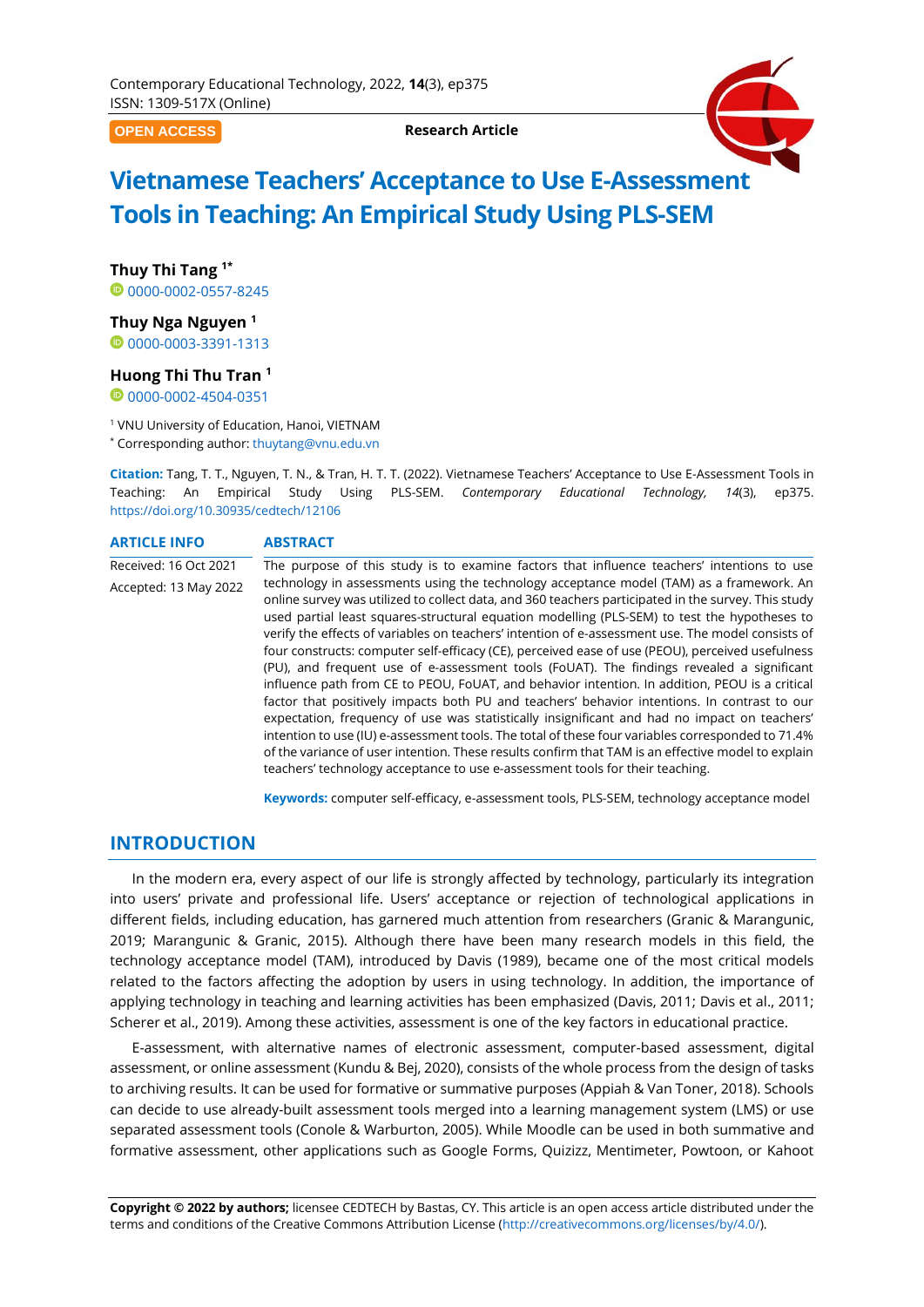**OPEN ACCESS**

**Research Article**



# **Vietnamese Teachers' Acceptance to Use E-Assessment Tools in Teaching: An Empirical Study Using PLS-SEM**

**Thuy Thi Tang 1\*** 0[0000-0002-0557-8245](https://orcid.org/0000-0002-0557-8245)

**Thuy Nga Nguyen <sup>1</sup>**

<sup>0</sup>[0000-0003-3391-1313](https://orcid.org/0000-0003-3391-1313)

## **Huong Thi Thu Tran <sup>1</sup>**

<sup>0</sup>[0000-0002-4504-0351](https://orcid.org/0000-0002-4504-0351)

<sup>1</sup> VNU University of Education, Hanoi, VIETNAM

\* Corresponding author: [thuytang@vnu.edu.vn](mailto:thuytang@vnu.edu.vn)

**Citation:** Tang, T. T., Nguyen, T. N., & Tran, H. T. T. (2022). Vietnamese Teachers' Acceptance to Use E-Assessment Tools in Teaching: An Empirical Study Using PLS-SEM. *Contemporary Educational Technology, 14*(3), ep375. <https://doi.org/10.30935/cedtech/12106>

#### **ARTICLE INFO ABSTRACT**

Received: 16 Oct 2021 Accepted: 13 May 2022 The purpose of this study is to examine factors that influence teachers' intentions to use technology in assessments using the technology acceptance model (TAM) as a framework. An online survey was utilized to collect data, and 360 teachers participated in the survey. This study used partial least squares-structural equation modelling (PLS-SEM) to test the hypotheses to verify the effects of variables on teachers' intention of e-assessment use. The model consists of four constructs: computer self-efficacy (CE), perceived ease of use (PEOU), perceived usefulness (PU), and frequent use of e-assessment tools (FoUAT). The findings revealed a significant influence path from CE to PEOU, FoUAT, and behavior intention. In addition, PEOU is a critical factor that positively impacts both PU and teachers' behavior intentions. In contrast to our expectation, frequency of use was statistically insignificant and had no impact on teachers' intention to use (IU) e-assessment tools. The total of these four variables corresponded to 71.4% of the variance of user intention. These results confirm that TAM is an effective model to explain teachers' technology acceptance to use e-assessment tools for their teaching.

**Keywords:** computer self-efficacy, e-assessment tools, PLS-SEM, technology acceptance model

# **INTRODUCTION**

In the modern era, every aspect of our life is strongly affected by technology, particularly its integration into users' private and professional life. Users' acceptance or rejection of technological applications in different fields, including education, has garnered much attention from researchers (Granic & Marangunic, 2019; Marangunic & Granic, 2015). Although there have been many research models in this field, the technology acceptance model (TAM), introduced by Davis (1989), became one of the most critical models related to the factors affecting the adoption by users in using technology. In addition, the importance of applying technology in teaching and learning activities has been emphasized (Davis, 2011; Davis et al., 2011; Scherer et al., 2019). Among these activities, assessment is one of the key factors in educational practice.

E-assessment, with alternative names of electronic assessment, computer-based assessment, digital assessment, or online assessment (Kundu & Bej, 2020), consists of the whole process from the design of tasks to archiving results. It can be used for formative or summative purposes (Appiah & Van Toner, 2018). Schools can decide to use already-built assessment tools merged into a learning management system (LMS) or use separated assessment tools (Conole & Warburton, 2005). While Moodle can be used in both summative and formative assessment, other applications such as Google Forms, Quizizz, Mentimeter, Powtoon, or Kahoot

**Copyright © 2022 by authors;** licensee CEDTECH by Bastas, CY. This article is an open access article distributed under the terms and conditions of the Creative Commons Attribution License [\(http://creativecommons.org/licenses/by/4.0/\)](http://creativecommons.org/licenses/by/4.0/).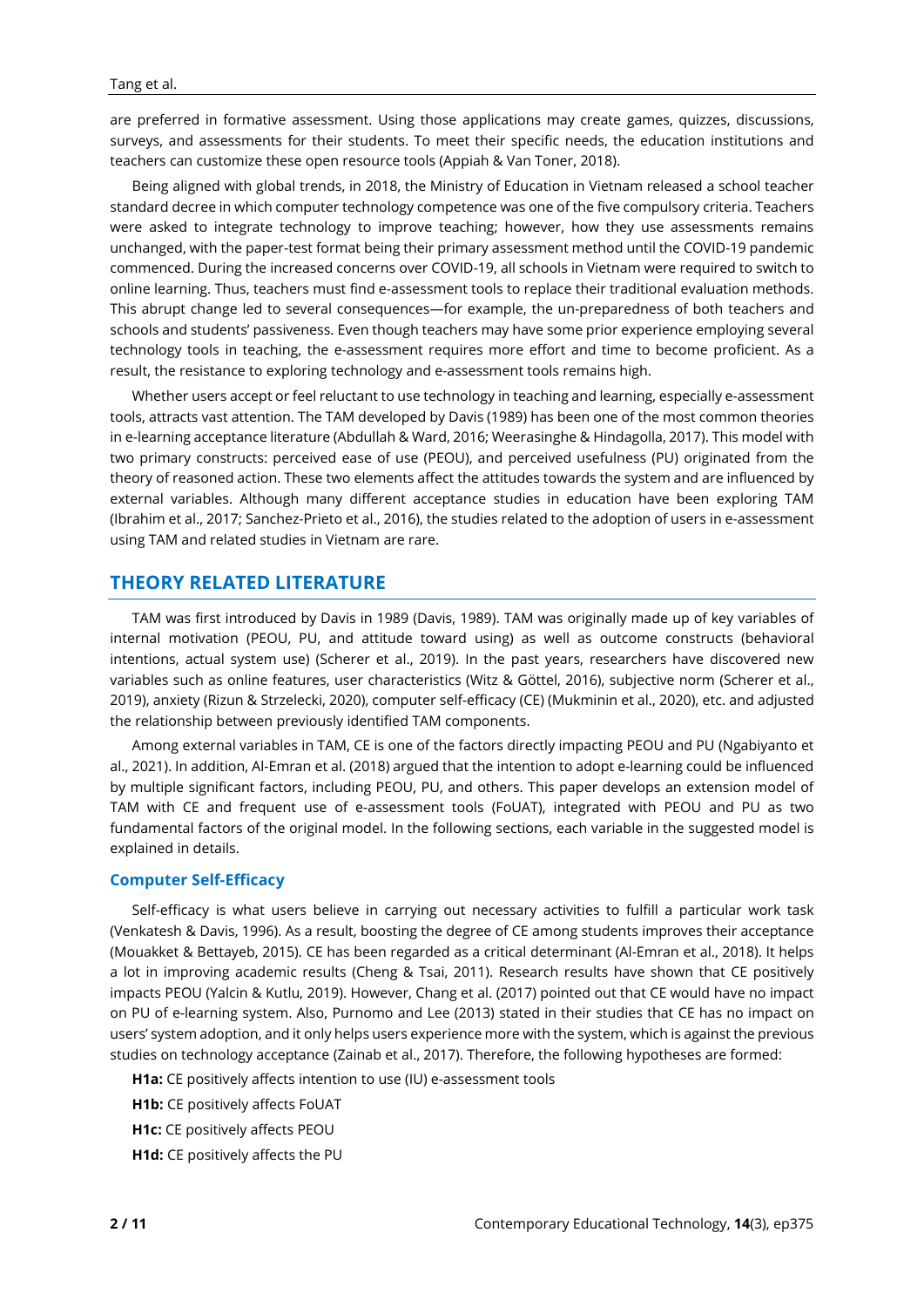are preferred in formative assessment. Using those applications may create games, quizzes, discussions, surveys, and assessments for their students. To meet their specific needs, the education institutions and teachers can customize these open resource tools (Appiah & Van Toner, 2018).

Being aligned with global trends, in 2018, the Ministry of Education in Vietnam released a school teacher standard decree in which computer technology competence was one of the five compulsory criteria. Teachers were asked to integrate technology to improve teaching; however, how they use assessments remains unchanged, with the paper-test format being their primary assessment method until the COVID-19 pandemic commenced. During the increased concerns over COVID-19, all schools in Vietnam were required to switch to online learning. Thus, teachers must find e-assessment tools to replace their traditional evaluation methods. This abrupt change led to several consequences—for example, the un-preparedness of both teachers and schools and students' passiveness. Even though teachers may have some prior experience employing several technology tools in teaching, the e-assessment requires more effort and time to become proficient. As a result, the resistance to exploring technology and e-assessment tools remains high.

Whether users accept or feel reluctant to use technology in teaching and learning, especially e-assessment tools, attracts vast attention. The TAM developed by Davis (1989) has been one of the most common theories in e-learning acceptance literature (Abdullah & Ward, 2016; Weerasinghe & Hindagolla, 2017). This model with two primary constructs: perceived ease of use (PEOU), and perceived usefulness (PU) originated from the theory of reasoned action. These two elements affect the attitudes towards the system and are influenced by external variables. Although many different acceptance studies in education have been exploring TAM (Ibrahim et al., 2017; Sanchez-Prieto et al., 2016), the studies related to the adoption of users in e-assessment using TAM and related studies in Vietnam are rare.

# **THEORY RELATED LITERATURE**

TAM was first introduced by Davis in 1989 (Davis, 1989). TAM was originally made up of key variables of internal motivation (PEOU, PU, and attitude toward using) as well as outcome constructs (behavioral intentions, actual system use) (Scherer et al., 2019). In the past years, researchers have discovered new variables such as online features, user characteristics (Witz & Göttel, 2016), subjective norm (Scherer et al., 2019), anxiety (Rizun & Strzelecki, 2020), computer self-efficacy (CE) (Mukminin et al., 2020), etc. and adjusted the relationship between previously identified TAM components.

Among external variables in TAM, CE is one of the factors directly impacting PEOU and PU (Ngabiyanto et al., 2021). In addition, Al-Emran et al. (2018) argued that the intention to adopt e-learning could be influenced by multiple significant factors, including PEOU, PU, and others. This paper develops an extension model of TAM with CE and frequent use of e-assessment tools (FoUAT), integrated with PEOU and PU as two fundamental factors of the original model. In the following sections, each variable in the suggested model is explained in details.

## **Computer Self-Efficacy**

Self-efficacy is what users believe in carrying out necessary activities to fulfill a particular work task (Venkatesh & Davis, 1996). As a result, boosting the degree of CE among students improves their acceptance (Mouakket & Bettayeb, 2015). CE has been regarded as a critical determinant (Al-Emran et al., 2018). It helps a lot in improving academic results (Cheng & Tsai, 2011). Research results have shown that CE positively impacts PEOU (Yalcin & Kutlu, 2019). However, Chang et al. (2017) pointed out that CE would have no impact on PU of e-learning system. Also, Purnomo and Lee (2013) stated in their studies that CE has no impact on users' system adoption, and it only helps users experience more with the system, which is against the previous studies on technology acceptance (Zainab et al., 2017). Therefore, the following hypotheses are formed:

**H1a:** CE positively affects intention to use (IU) e-assessment tools

**H1b:** CE positively affects FoUAT

**H1c:** CE positively affects PEOU

**H1d:** CE positively affects the PU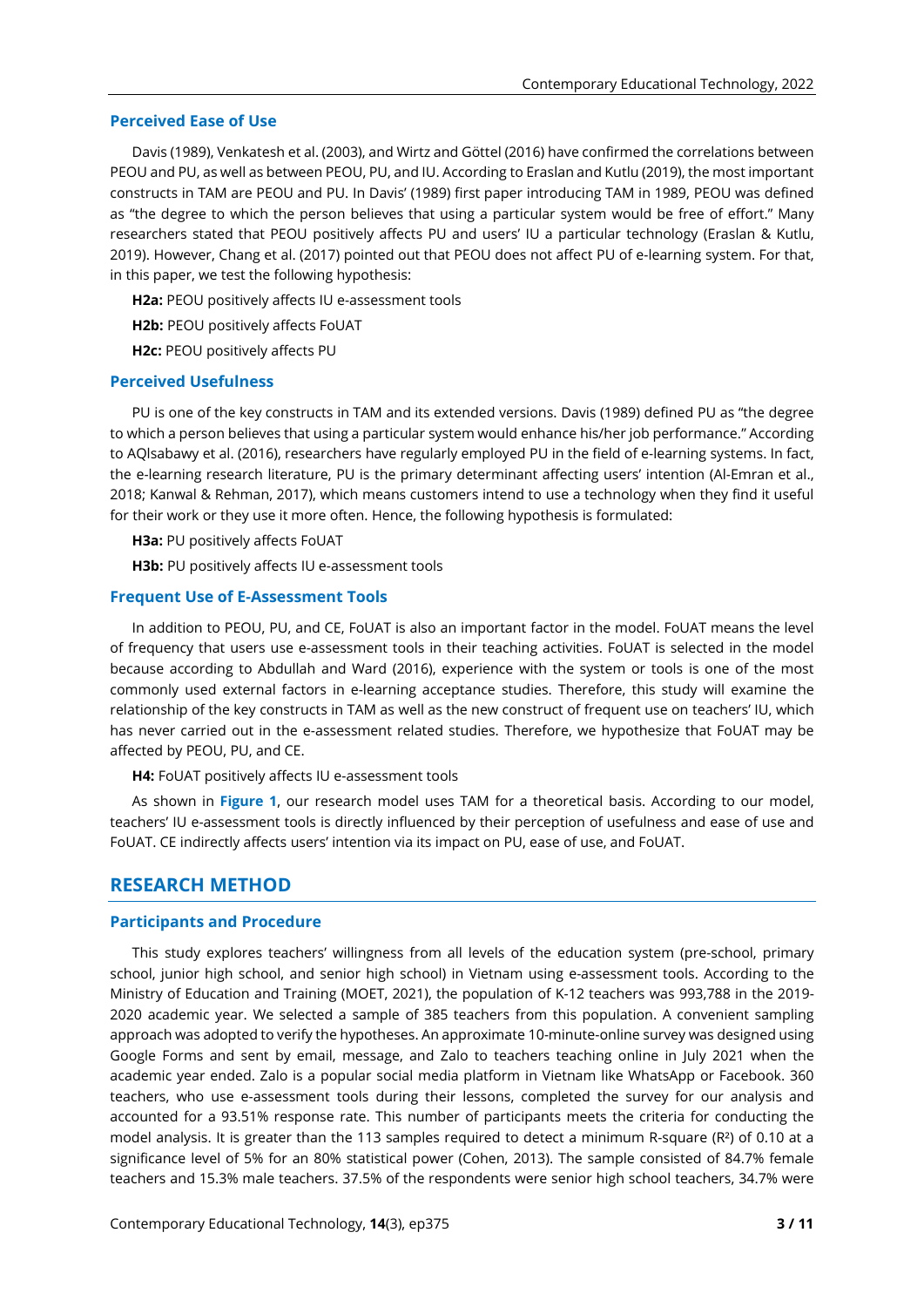### **Perceived Ease of Use**

Davis (1989), Venkatesh et al. (2003), and Wirtz and Göttel (2016) have confirmed the correlations between PEOU and PU, as well as between PEOU, PU, and IU. According to Eraslan and Kutlu (2019), the most important constructs in TAM are PEOU and PU. In Davis' (1989) first paper introducing TAM in 1989, PEOU was defined as "the degree to which the person believes that using a particular system would be free of effort." Many researchers stated that PEOU positively affects PU and users' IU a particular technology (Eraslan & Kutlu, 2019). However, Chang et al. (2017) pointed out that PEOU does not affect PU of e-learning system. For that, in this paper, we test the following hypothesis:

**H2a:** PEOU positively affects IU e-assessment tools

**H2b:** PEOU positively affects FoUAT

**H2c:** PEOU positively affects PU

#### **Perceived Usefulness**

PU is one of the key constructs in TAM and its extended versions. Davis (1989) defined PU as "the degree to which a person believes that using a particular system would enhance his/her job performance." According to AQlsabawy et al. (2016), researchers have regularly employed PU in the field of e-learning systems. In fact, the e-learning research literature, PU is the primary determinant affecting users' intention (Al-Emran et al., 2018; Kanwal & Rehman, 2017), which means customers intend to use a technology when they find it useful for their work or they use it more often. Hence, the following hypothesis is formulated:

**H3a:** PU positively affects FoUAT

**H3b:** PU positively affects IU e-assessment tools

## **Frequent Use of E-Assessment Tools**

In addition to PEOU, PU, and CE, FoUAT is also an important factor in the model. FoUAT means the level of frequency that users use e-assessment tools in their teaching activities. FoUAT is selected in the model because according to Abdullah and Ward (2016), experience with the system or tools is one of the most commonly used external factors in e-learning acceptance studies. Therefore, this study will examine the relationship of the key constructs in TAM as well as the new construct of frequent use on teachers' IU, which has never carried out in the e-assessment related studies. Therefore, we hypothesize that FoUAT may be affected by PEOU, PU, and CE.

**H4:** FoUAT positively affects IU e-assessment tools

As shown in **Figure 1**, our research model uses TAM for a theoretical basis. According to our model, teachers' IU e-assessment tools is directly influenced by their perception of usefulness and ease of use and FoUAT. CE indirectly affects users' intention via its impact on PU, ease of use, and FoUAT.

## **RESEARCH METHOD**

## **Participants and Procedure**

This study explores teachers' willingness from all levels of the education system (pre-school, primary school, junior high school, and senior high school) in Vietnam using e-assessment tools. According to the Ministry of Education and Training (MOET, 2021), the population of K-12 teachers was 993,788 in the 2019- 2020 academic year. We selected a sample of 385 teachers from this population. A convenient sampling approach was adopted to verify the hypotheses. An approximate 10-minute-online survey was designed using Google Forms and sent by email, message, and Zalo to teachers teaching online in July 2021 when the academic year ended. Zalo is a popular social media platform in Vietnam like WhatsApp or Facebook. 360 teachers, who use e-assessment tools during their lessons, completed the survey for our analysis and accounted for a 93.51% response rate. This number of participants meets the criteria for conducting the model analysis. It is greater than the 113 samples required to detect a minimum R-square (R<sup>2</sup>) of 0.10 at a significance level of 5% for an 80% statistical power (Cohen, 2013). The sample consisted of 84.7% female teachers and 15.3% male teachers. 37.5% of the respondents were senior high school teachers, 34.7% were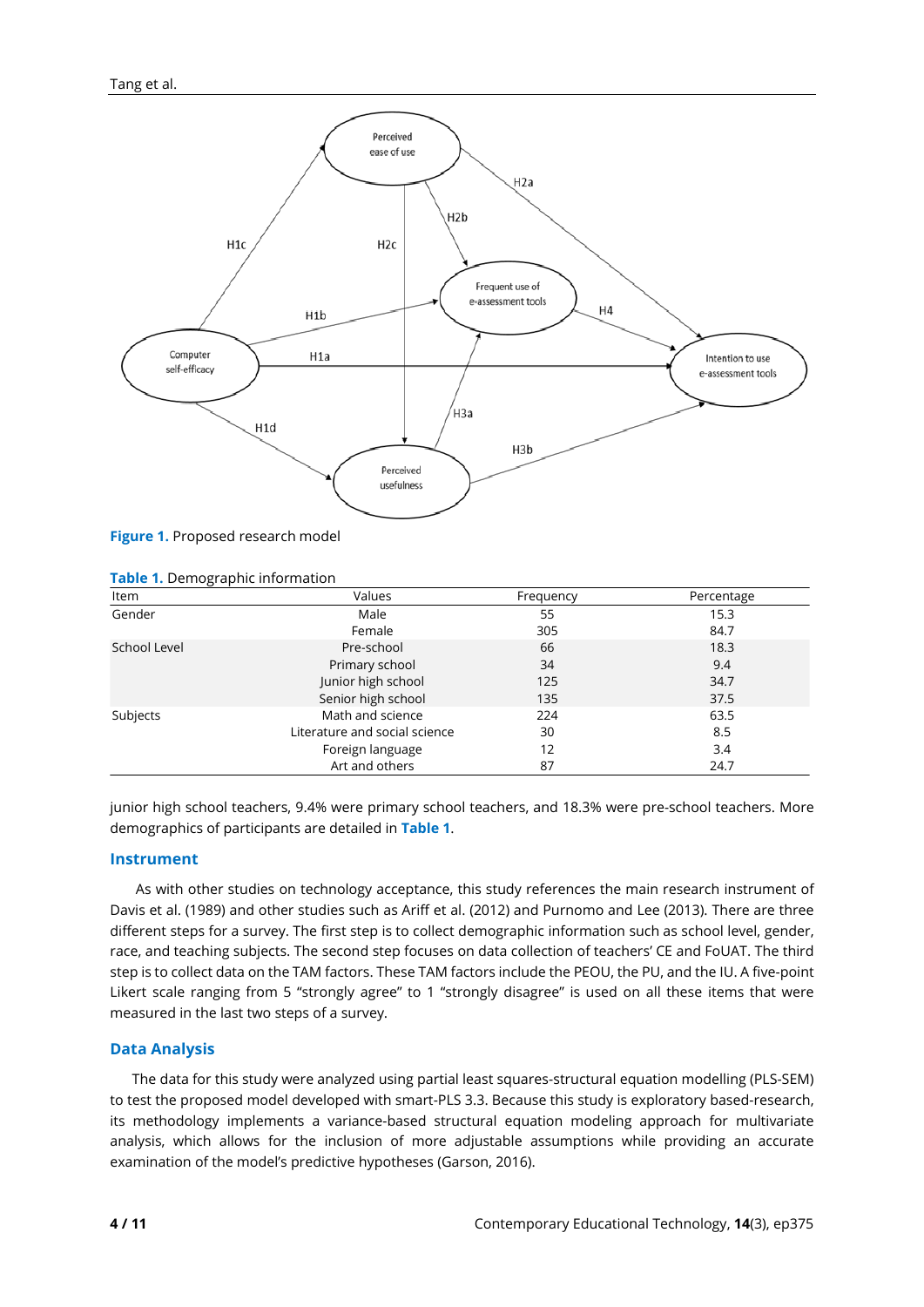

**Figure 1.** Proposed research model

| Item         | Values                        | Frequency | Percentage |
|--------------|-------------------------------|-----------|------------|
| Gender       | Male                          | 55        | 15.3       |
|              | Female                        | 305       | 84.7       |
| School Level | Pre-school                    | 66        | 18.3       |
|              | Primary school                | 34        | 9.4        |
|              | Junior high school            | 125       | 34.7       |
|              | Senior high school            | 135       | 37.5       |
| Subjects     | Math and science              | 224       | 63.5       |
|              | Literature and social science | 30        | 8.5        |
|              | Foreign language              | 12        | 3.4        |
|              | Art and others                | 87        | 24.7       |

#### **Table 1.** Demographic information

junior high school teachers, 9.4% were primary school teachers, and 18.3% were pre-school teachers. More demographics of participants are detailed in **Table 1**.

## **Instrument**

As with other studies on technology acceptance, this study references the main research instrument of Davis et al. (1989) and other studies such as Ariff et al. (2012) and Purnomo and Lee (2013). There are three different steps for a survey. The first step is to collect demographic information such as school level, gender, race, and teaching subjects. The second step focuses on data collection of teachers' CE and FoUAT. The third step is to collect data on the TAM factors. These TAM factors include the PEOU, the PU, and the IU. A five-point Likert scale ranging from 5 "strongly agree" to 1 "strongly disagree" is used on all these items that were measured in the last two steps of a survey.

## **Data Analysis**

The data for this study were analyzed using partial least squares-structural equation modelling (PLS-SEM) to test the proposed model developed with smart-PLS 3.3. Because this study is exploratory based-research, its methodology implements a variance-based structural equation modeling approach for multivariate analysis, which allows for the inclusion of more adjustable assumptions while providing an accurate examination of the model's predictive hypotheses (Garson, 2016).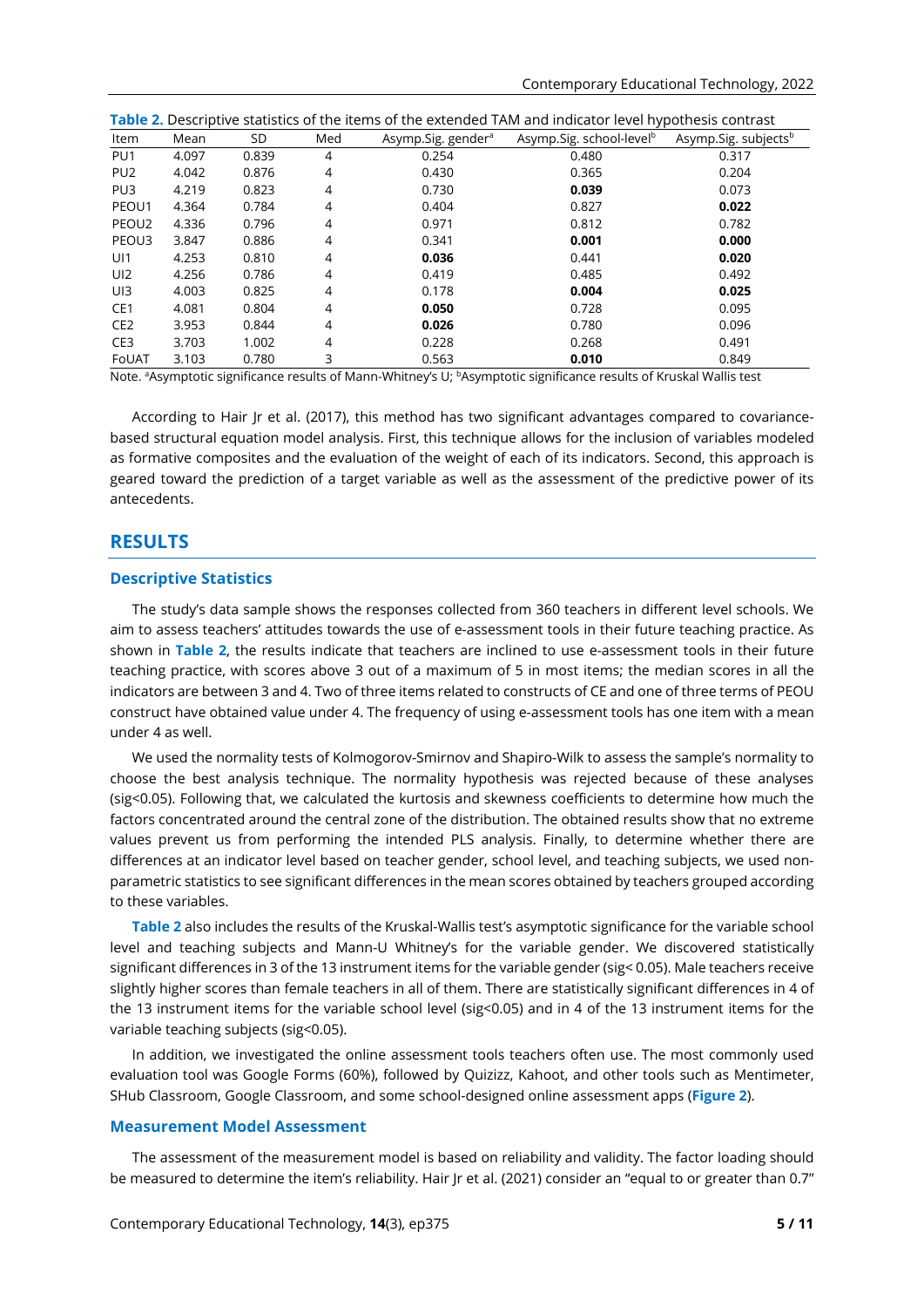|                   | Table 2. Descriptive statistics of the items of the extended TAM and indicator level hypothesis contrast |       |     |                                |                                      |                                  |
|-------------------|----------------------------------------------------------------------------------------------------------|-------|-----|--------------------------------|--------------------------------------|----------------------------------|
| Item              | Mean                                                                                                     | SD    | Med | Asymp.Sig. gender <sup>a</sup> | Asymp.Sig. school-level <sup>b</sup> | Asymp.Sig. subjects <sup>b</sup> |
| PU <sub>1</sub>   | 4.097                                                                                                    | 0.839 | 4   | 0.254                          | 0.480                                | 0.317                            |
| PU <sub>2</sub>   | 4.042                                                                                                    | 0.876 | 4   | 0.430                          | 0.365                                | 0.204                            |
| PU <sub>3</sub>   | 4.219                                                                                                    | 0.823 | 4   | 0.730                          | 0.039                                | 0.073                            |
| PEOU1             | 4.364                                                                                                    | 0.784 | 4   | 0.404                          | 0.827                                | 0.022                            |
| PEOU <sub>2</sub> | 4.336                                                                                                    | 0.796 | 4   | 0.971                          | 0.812                                | 0.782                            |
| PEOU3             | 3.847                                                                                                    | 0.886 | 4   | 0.341                          | 0.001                                | 0.000                            |
| U <sub>11</sub>   | 4.253                                                                                                    | 0.810 | 4   | 0.036                          | 0.441                                | 0.020                            |
| UI2               | 4.256                                                                                                    | 0.786 | 4   | 0.419                          | 0.485                                | 0.492                            |
| U <sub>13</sub>   | 4.003                                                                                                    | 0.825 | 4   | 0.178                          | 0.004                                | 0.025                            |
| CE1               | 4.081                                                                                                    | 0.804 | 4   | 0.050                          | 0.728                                | 0.095                            |
| CE <sub>2</sub>   | 3.953                                                                                                    | 0.844 | 4   | 0.026                          | 0.780                                | 0.096                            |
| CE <sub>3</sub>   | 3.703                                                                                                    | 1.002 | 4   | 0.228                          | 0.268                                | 0.491                            |
| FoUAT             | 3.103                                                                                                    | 0.780 | 3   | 0.563                          | 0.010                                | 0.849                            |

Note. <sup>a</sup>Asymptotic significance results of Mann-Whitney's U; <sup>b</sup>Asymptotic significance results of Kruskal Wallis test

According to Hair Jr et al. (2017), this method has two significant advantages compared to covariancebased structural equation model analysis. First, this technique allows for the inclusion of variables modeled as formative composites and the evaluation of the weight of each of its indicators. Second, this approach is geared toward the prediction of a target variable as well as the assessment of the predictive power of its antecedents.

# **RESULTS**

#### **Descriptive Statistics**

The study's data sample shows the responses collected from 360 teachers in different level schools. We aim to assess teachers' attitudes towards the use of e-assessment tools in their future teaching practice. As shown in **Table 2**, the results indicate that teachers are inclined to use e-assessment tools in their future teaching practice, with scores above 3 out of a maximum of 5 in most items; the median scores in all the indicators are between 3 and 4. Two of three items related to constructs of CE and one of three terms of PEOU construct have obtained value under 4. The frequency of using e-assessment tools has one item with a mean under 4 as well.

We used the normality tests of Kolmogorov-Smirnov and Shapiro-Wilk to assess the sample's normality to choose the best analysis technique. The normality hypothesis was rejected because of these analyses (sig<0.05). Following that, we calculated the kurtosis and skewness coefficients to determine how much the factors concentrated around the central zone of the distribution. The obtained results show that no extreme values prevent us from performing the intended PLS analysis. Finally, to determine whether there are differences at an indicator level based on teacher gender, school level, and teaching subjects, we used nonparametric statistics to see significant differences in the mean scores obtained by teachers grouped according to these variables.

**Table 2** also includes the results of the Kruskal-Wallis test's asymptotic significance for the variable school level and teaching subjects and Mann-U Whitney's for the variable gender. We discovered statistically significant differences in 3 of the 13 instrument items for the variable gender (sig< 0.05). Male teachers receive slightly higher scores than female teachers in all of them. There are statistically significant differences in 4 of the 13 instrument items for the variable school level (sig<0.05) and in 4 of the 13 instrument items for the variable teaching subjects (sig<0.05).

In addition, we investigated the online assessment tools teachers often use. The most commonly used evaluation tool was Google Forms (60%), followed by Quizizz, Kahoot, and other tools such as Mentimeter, SHub Classroom, Google Classroom, and some school-designed online assessment apps (**Figure 2**).

### **Measurement Model Assessment**

The assessment of the measurement model is based on reliability and validity. The factor loading should be measured to determine the item's reliability. Hair Jr et al. (2021) consider an "equal to or greater than 0.7"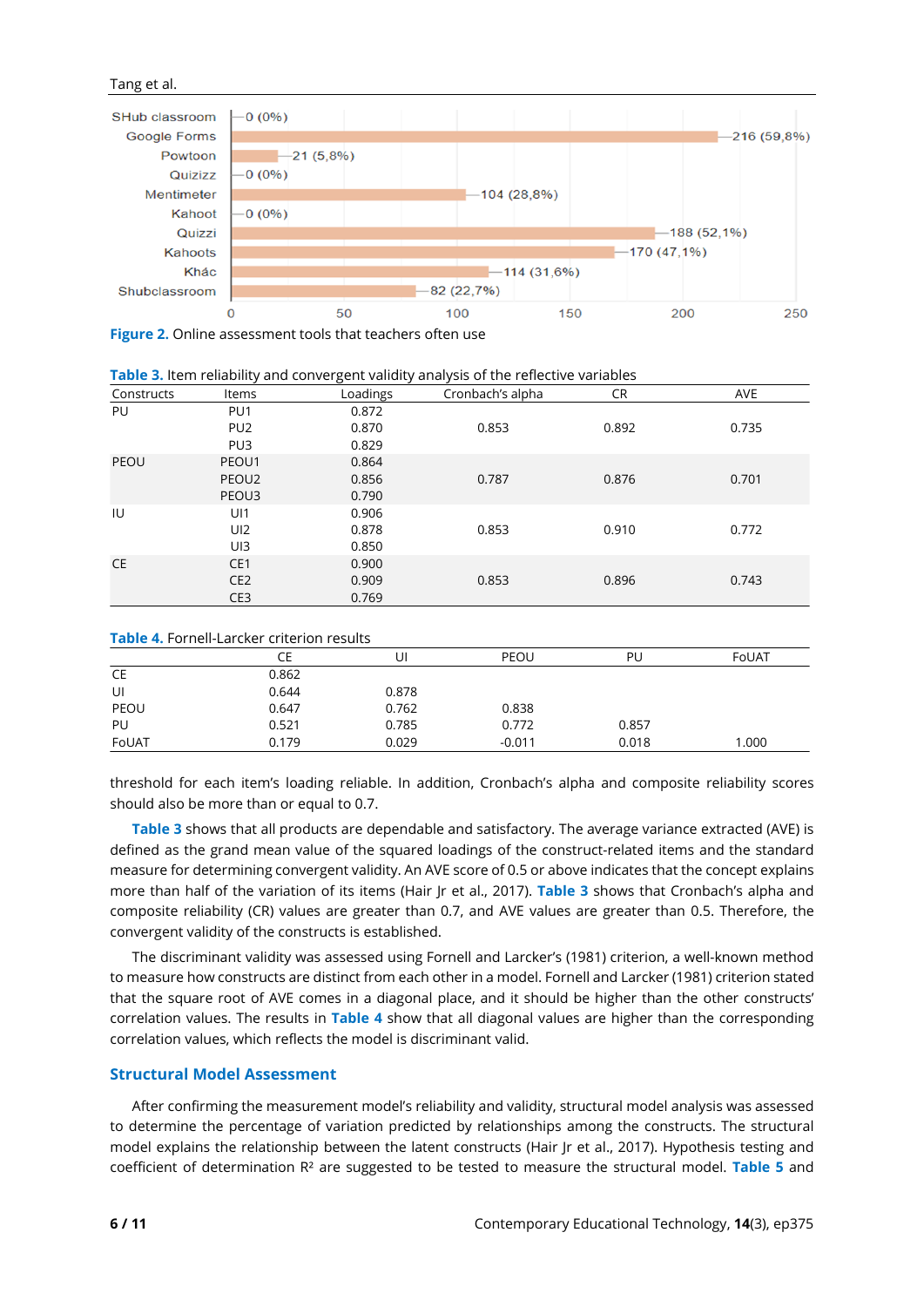## Tang et al.



**Figure 2.** Online assessment tools that teachers often use

|            | <b>Table 3.</b> Item reliability and convergent validity analysis of the reflective variables |          |                  |           |            |
|------------|-----------------------------------------------------------------------------------------------|----------|------------------|-----------|------------|
| Constructs | <b>Items</b>                                                                                  | Loadings | Cronbach's alpha | <b>CR</b> | <b>AVE</b> |
| PU         | PU <sub>1</sub>                                                                               | 0.872    |                  |           |            |
|            | PU <sub>2</sub>                                                                               | 0.870    | 0.853            | 0.892     | 0.735      |
|            | PU <sub>3</sub>                                                                               | 0.829    |                  |           |            |
| PEOU       | PEOU1                                                                                         | 0.864    |                  |           |            |
|            | PEOU2                                                                                         | 0.856    | 0.787            | 0.876     | 0.701      |
|            | PEOU3                                                                                         | 0.790    |                  |           |            |
| IU         | UI1                                                                                           | 0.906    |                  |           |            |
|            | UI <sub>2</sub>                                                                               | 0.878    | 0.853            | 0.910     | 0.772      |
|            | UI3                                                                                           | 0.850    |                  |           |            |
| <b>CE</b>  | CE <sub>1</sub>                                                                               | 0.900    |                  |           |            |
|            | CE <sub>2</sub>                                                                               | 0.909    | 0.853            | 0.896     | 0.743      |
|            | CE <sub>3</sub>                                                                               | 0.769    |                  |           |            |

**Table 3.** Item reliability and convergent validity analysis of the reflective variables

#### **Table 4.** Fornell-Larcker criterion results

| <b>NAMILY THE STILL LATERCH CHILLIPS IN THE STATE</b> |       |       |          |       |       |
|-------------------------------------------------------|-------|-------|----------|-------|-------|
|                                                       | CE    | UI    | PEOU     | PU    | FoUAT |
| CE                                                    | 0.862 |       |          |       |       |
| UI                                                    | 0.644 | 0.878 |          |       |       |
| PEOU                                                  | 0.647 | 0.762 | 0.838    |       |       |
| PU                                                    | 0.521 | 0.785 | 0.772    | 0.857 |       |
| FoUAT                                                 | 0.179 | 0.029 | $-0.011$ | 0.018 | 1.000 |

threshold for each item's loading reliable. In addition, Cronbach's alpha and composite reliability scores should also be more than or equal to 0.7.

**Table 3** shows that all products are dependable and satisfactory. The average variance extracted (AVE) is defined as the grand mean value of the squared loadings of the construct-related items and the standard measure for determining convergent validity. An AVE score of 0.5 or above indicates that the concept explains more than half of the variation of its items (Hair Jr et al., 2017). **Table 3** shows that Cronbach's alpha and composite reliability (CR) values are greater than 0.7, and AVE values are greater than 0.5. Therefore, the convergent validity of the constructs is established.

The discriminant validity was assessed using Fornell and Larcker's (1981) criterion, a well-known method to measure how constructs are distinct from each other in a model. Fornell and Larcker (1981) criterion stated that the square root of AVE comes in a diagonal place, and it should be higher than the other constructs' correlation values. The results in **Table 4** show that all diagonal values are higher than the corresponding correlation values, which reflects the model is discriminant valid.

## **Structural Model Assessment**

After confirming the measurement model's reliability and validity, structural model analysis was assessed to determine the percentage of variation predicted by relationships among the constructs. The structural model explains the relationship between the latent constructs (Hair Jr et al., 2017). Hypothesis testing and coefficient of determination R² are suggested to be tested to measure the structural model. **Table 5** and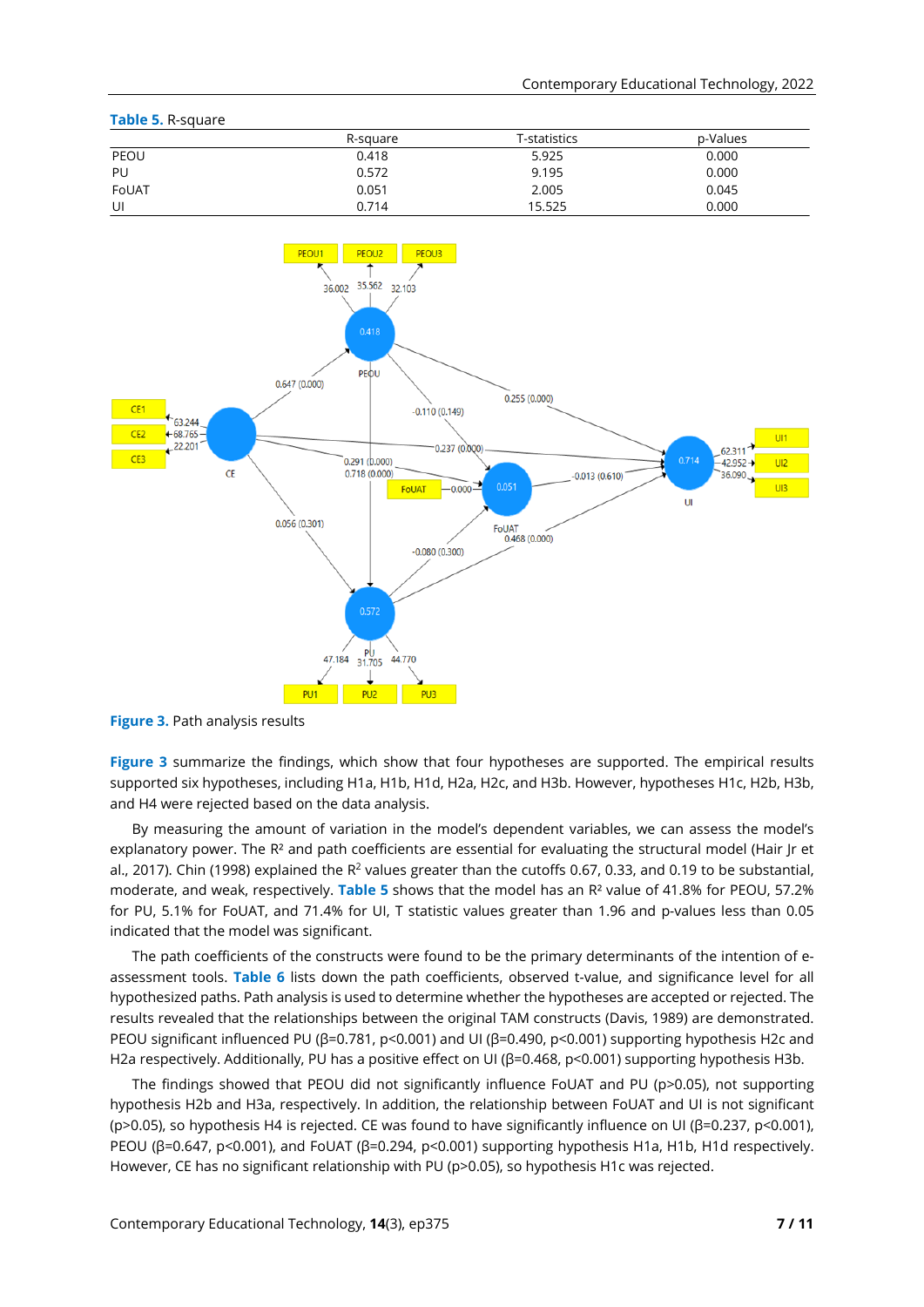| Table 5. R-square |          |              |          |
|-------------------|----------|--------------|----------|
|                   | R-square | T-statistics | p-Values |
| PEOU              | 0.418    | 5.925        | 0.000    |
| PU                | 0.572    | 9.195        | 0.000    |
| FoUAT             | 0.051    | 2.005        | 0.045    |
| UI                | 0.714    | 15.525       | 0.000    |



**Figure 3.** Path analysis results

**Figure 3** summarize the findings, which show that four hypotheses are supported. The empirical results supported six hypotheses, including H1a, H1b, H1d, H2a, H2c, and H3b. However, hypotheses H1c, H2b, H3b, and H4 were rejected based on the data analysis.

By measuring the amount of variation in the model's dependent variables, we can assess the model's explanatory power. The R<sup>2</sup> and path coefficients are essential for evaluating the structural model (Hair |r et al., 2017). Chin (1998) explained the R<sup>2</sup> values greater than the cutoffs 0.67, 0.33, and 0.19 to be substantial, moderate, and weak, respectively. **Table 5** shows that the model has an R² value of 41.8% for PEOU, 57.2% for PU, 5.1% for FoUAT, and 71.4% for UI, T statistic values greater than 1.96 and p-values less than 0.05 indicated that the model was significant.

The path coefficients of the constructs were found to be the primary determinants of the intention of eassessment tools. **Table 6** lists down the path coefficients, observed t-value, and significance level for all hypothesized paths. Path analysis is used to determine whether the hypotheses are accepted or rejected. The results revealed that the relationships between the original TAM constructs (Davis, 1989) are demonstrated. PEOU significant influenced PU (β=0.781, p<0.001) and UI (β=0.490, p<0.001) supporting hypothesis H2c and H2a respectively. Additionally, PU has a positive effect on UI (β=0.468, p<0.001) supporting hypothesis H3b.

The findings showed that PEOU did not significantly influence FoUAT and PU (p>0.05), not supporting hypothesis H2b and H3a, respectively. In addition, the relationship between FoUAT and UI is not significant (p>0.05), so hypothesis H4 is rejected. CE was found to have significantly influence on UI (β=0.237, p<0.001), PEOU (β=0.647, p<0.001), and FoUAT (β=0.294, p<0.001) supporting hypothesis H1a, H1b, H1d respectively. However, CE has no significant relationship with PU (p>0.05), so hypothesis H1c was rejected.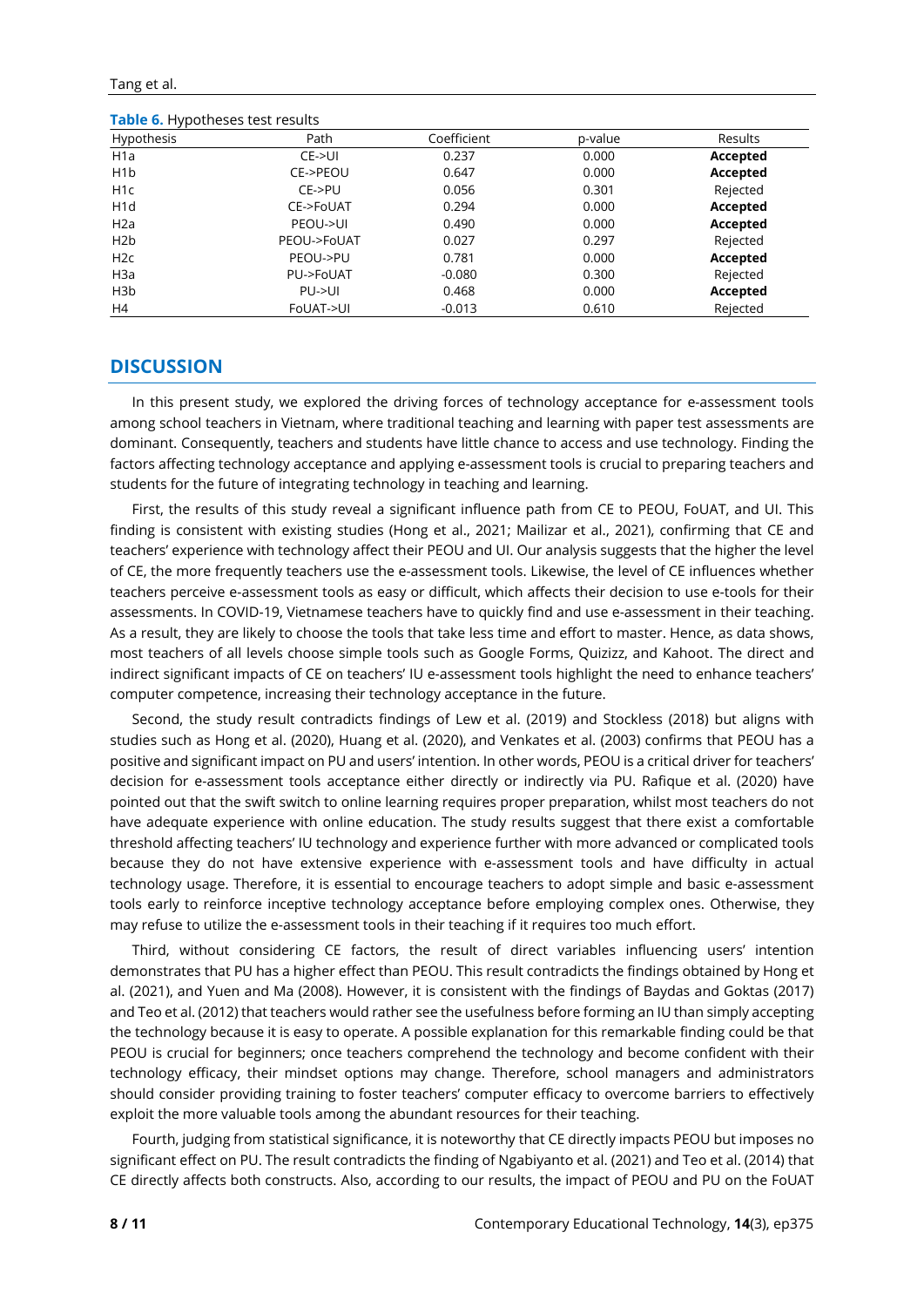Tang et al.

**Table 6.** Hypotheses test results

| Hypothesis       | Path        | Coefficient | p-value | <b>Results</b> |
|------------------|-------------|-------------|---------|----------------|
| H <sub>1</sub> a | CE > UI     | 0.237       | 0.000   | Accepted       |
| H1b              | CE->PEOU    | 0.647       | 0.000   | Accepted       |
| H <sub>1</sub> c | $CE->PU$    | 0.056       | 0.301   | Rejected       |
| H <sub>1</sub> d | CE->FoUAT   | 0.294       | 0.000   | Accepted       |
| H2a              | PEOU->UI    | 0.490       | 0.000   | Accepted       |
| H2b              | PEOU->FoUAT | 0.027       | 0.297   | Rejected       |
| H2c              | PEOU->PU    | 0.781       | 0.000   | Accepted       |
| H <sub>3</sub> a | PU->FoUAT   | $-0.080$    | 0.300   | Rejected       |
| H <sub>3</sub> b | PU > U      | 0.468       | 0.000   | Accepted       |
| H4               | FoUAT->UI   | $-0.013$    | 0.610   | Rejected       |

# **DISCUSSION**

In this present study, we explored the driving forces of technology acceptance for e-assessment tools among school teachers in Vietnam, where traditional teaching and learning with paper test assessments are dominant. Consequently, teachers and students have little chance to access and use technology. Finding the factors affecting technology acceptance and applying e-assessment tools is crucial to preparing teachers and students for the future of integrating technology in teaching and learning.

First, the results of this study reveal a significant influence path from CE to PEOU, FoUAT, and UI. This finding is consistent with existing studies (Hong et al., 2021; Mailizar et al., 2021), confirming that CE and teachers' experience with technology affect their PEOU and UI. Our analysis suggests that the higher the level of CE, the more frequently teachers use the e-assessment tools. Likewise, the level of CE influences whether teachers perceive e-assessment tools as easy or difficult, which affects their decision to use e-tools for their assessments. In COVID-19, Vietnamese teachers have to quickly find and use e-assessment in their teaching. As a result, they are likely to choose the tools that take less time and effort to master. Hence, as data shows, most teachers of all levels choose simple tools such as Google Forms, Quizizz, and Kahoot. The direct and indirect significant impacts of CE on teachers' IU e-assessment tools highlight the need to enhance teachers' computer competence, increasing their technology acceptance in the future.

Second, the study result contradicts findings of Lew et al. (2019) and Stockless (2018) but aligns with studies such as Hong et al. (2020), Huang et al. (2020), and Venkates et al. (2003) confirms that PEOU has a positive and significant impact on PU and users' intention. In other words, PEOU is a critical driver for teachers' decision for e-assessment tools acceptance either directly or indirectly via PU. Rafique et al. (2020) have pointed out that the swift switch to online learning requires proper preparation, whilst most teachers do not have adequate experience with online education. The study results suggest that there exist a comfortable threshold affecting teachers' IU technology and experience further with more advanced or complicated tools because they do not have extensive experience with e-assessment tools and have difficulty in actual technology usage. Therefore, it is essential to encourage teachers to adopt simple and basic e-assessment tools early to reinforce inceptive technology acceptance before employing complex ones. Otherwise, they may refuse to utilize the e-assessment tools in their teaching if it requires too much effort.

Third, without considering CE factors, the result of direct variables influencing users' intention demonstrates that PU has a higher effect than PEOU. This result contradicts the findings obtained by Hong et al. (2021), and Yuen and Ma (2008). However, it is consistent with the findings of Baydas and Goktas (2017) and Teo et al. (2012) that teachers would rather see the usefulness before forming an IU than simply accepting the technology because it is easy to operate. A possible explanation for this remarkable finding could be that PEOU is crucial for beginners; once teachers comprehend the technology and become confident with their technology efficacy, their mindset options may change. Therefore, school managers and administrators should consider providing training to foster teachers' computer efficacy to overcome barriers to effectively exploit the more valuable tools among the abundant resources for their teaching.

Fourth, judging from statistical significance, it is noteworthy that CE directly impacts PEOU but imposes no significant effect on PU. The result contradicts the finding of Ngabiyanto et al. (2021) and Teo et al. (2014) that CE directly affects both constructs. Also, according to our results, the impact of PEOU and PU on the FoUAT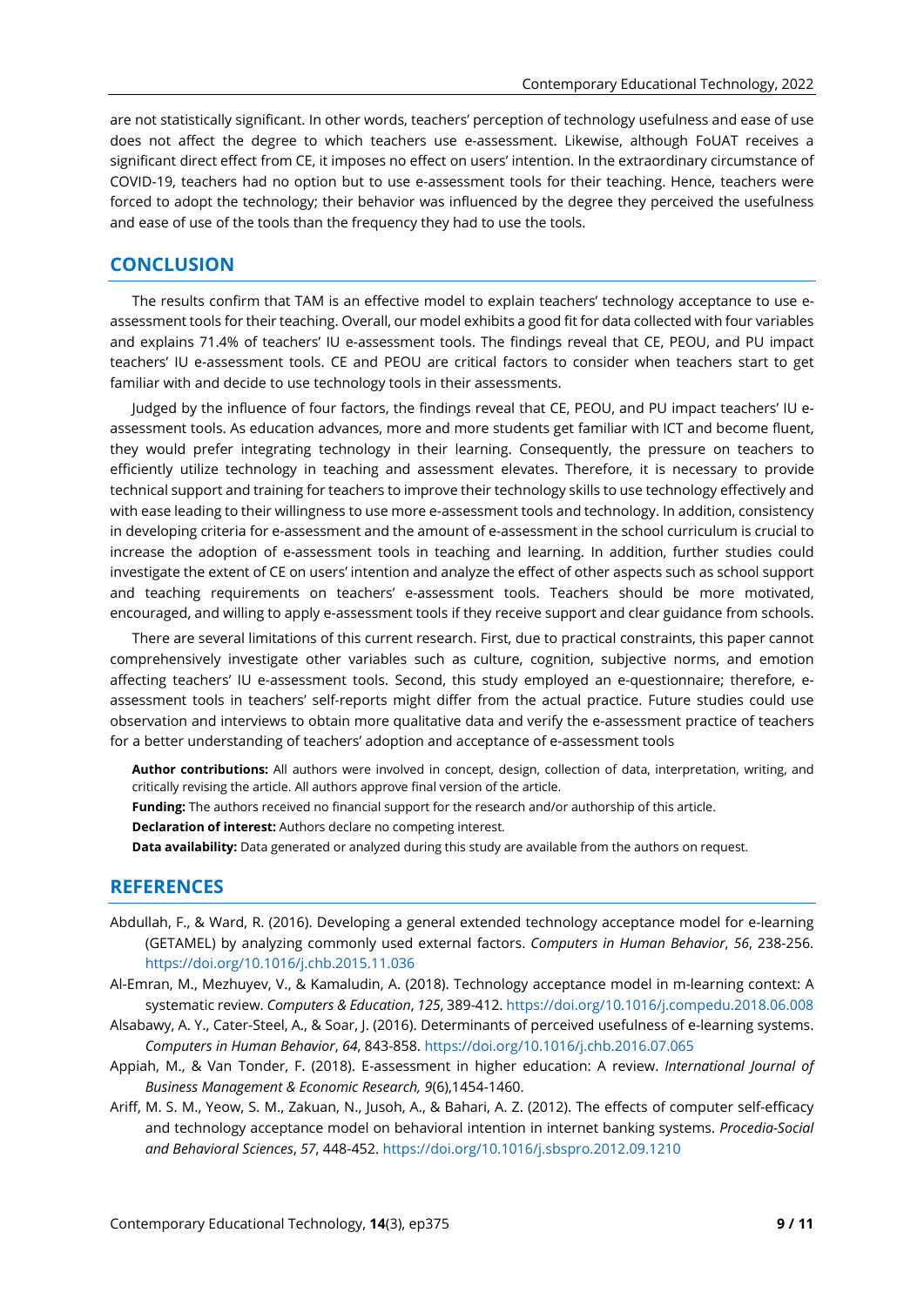are not statistically significant. In other words, teachers' perception of technology usefulness and ease of use does not affect the degree to which teachers use e-assessment. Likewise, although FoUAT receives a significant direct effect from CE, it imposes no effect on users' intention. In the extraordinary circumstance of COVID-19, teachers had no option but to use e-assessment tools for their teaching. Hence, teachers were forced to adopt the technology; their behavior was influenced by the degree they perceived the usefulness and ease of use of the tools than the frequency they had to use the tools.

# **CONCLUSION**

The results confirm that TAM is an effective model to explain teachers' technology acceptance to use eassessment tools for their teaching. Overall, our model exhibits a good fit for data collected with four variables and explains 71.4% of teachers' IU e-assessment tools. The findings reveal that CE, PEOU, and PU impact teachers' IU e-assessment tools. CE and PEOU are critical factors to consider when teachers start to get familiar with and decide to use technology tools in their assessments.

Judged by the influence of four factors, the findings reveal that CE, PEOU, and PU impact teachers' IU eassessment tools. As education advances, more and more students get familiar with ICT and become fluent, they would prefer integrating technology in their learning. Consequently, the pressure on teachers to efficiently utilize technology in teaching and assessment elevates. Therefore, it is necessary to provide technical support and training for teachers to improve their technology skills to use technology effectively and with ease leading to their willingness to use more e-assessment tools and technology. In addition, consistency in developing criteria for e-assessment and the amount of e-assessment in the school curriculum is crucial to increase the adoption of e-assessment tools in teaching and learning. In addition, further studies could investigate the extent of CE on users' intention and analyze the effect of other aspects such as school support and teaching requirements on teachers' e-assessment tools. Teachers should be more motivated, encouraged, and willing to apply e-assessment tools if they receive support and clear guidance from schools.

There are several limitations of this current research. First, due to practical constraints, this paper cannot comprehensively investigate other variables such as culture, cognition, subjective norms, and emotion affecting teachers' IU e-assessment tools. Second, this study employed an e-questionnaire; therefore, eassessment tools in teachers' self-reports might differ from the actual practice. Future studies could use observation and interviews to obtain more qualitative data and verify the e-assessment practice of teachers for a better understanding of teachers' adoption and acceptance of e-assessment tools

- **Author contributions:** All authors were involved in concept, design, collection of data, interpretation, writing, and critically revising the article. All authors approve final version of the article.
- **Funding:** The authors received no financial support for the research and/or authorship of this article.
- **Declaration of interest:** Authors declare no competing interest.
- **Data availability:** Data generated or analyzed during this study are available from the authors on request.

# **REFERENCES**

- Abdullah, F., & Ward, R. (2016). Developing a general extended technology acceptance model for e-learning (GETAMEL) by analyzing commonly used external factors. *Computers in Human Behavior*, *56*, 238-25[6.](https://doi.org/10.1016/j.chb.2015.11.036) <https://doi.org/10.1016/j.chb.2015.11.036>
- Al-Emran, M., Mezhuyev, V., & Kamaludin, A. (2018). Technology acceptance model in m-learning context: A systematic review. *Computers & Education*, *125*, 389-412. <https://doi.org/10.1016/j.compedu.2018.06.008>
- Alsabawy, A. Y., Cater-Steel, A., & Soar, J. (2016). Determinants of perceived usefulness of e-learning systems. *Computers in Human Behavior*, *64*, 843-858. <https://doi.org/10.1016/j.chb.2016.07.065>
- Appiah, M., & Van Tonder, F. (2018). E-assessment in higher education: A review. *International Journal of Business Management & Economic Research, 9*(6),1454-1460.
- Ariff, M. S. M., Yeow, S. M., Zakuan, N., Jusoh, A., & Bahari, A. Z. (2012). The effects of computer self-efficacy and technology acceptance model on behavioral intention in internet banking systems. *Procedia-Social and Behavioral Sciences*, *57*, 448-452. <https://doi.org/10.1016/j.sbspro.2012.09.1210>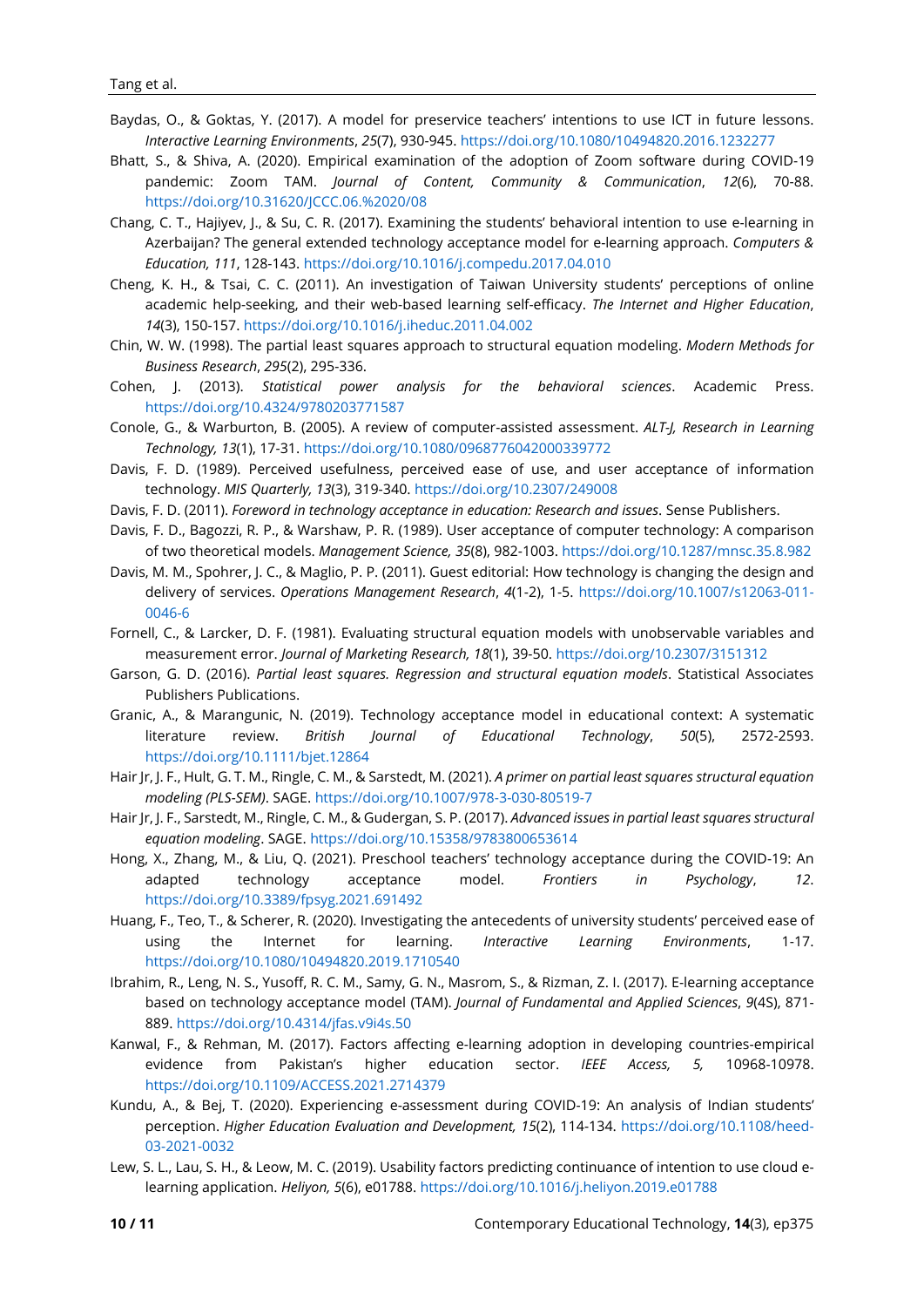- Baydas, O., & Goktas, Y. (2017). A model for preservice teachers' intentions to use ICT in future lessons. *Interactive Learning Environments*, *25*(7), 930-945. <https://doi.org/10.1080/10494820.2016.1232277>
- Bhatt, S., & Shiva, A. (2020). Empirical examination of the adoption of Zoom software during COVID-19 pandemic: Zoom TAM. *Journal of Content, Community & Communication*, *12*(6), 70-88. <https://doi.org/10.31620/JCCC.06.%2020/08>
- Chang, C. T., Hajiyev, J., & Su, C. R. (2017). Examining the students' behavioral intention to use e-learning in Azerbaijan? The general extended technology acceptance model for e-learning approach. *Computers & Education, 111*, 128-143. <https://doi.org/10.1016/j.compedu.2017.04.010>
- Cheng, K. H., & Tsai, C. C. (2011). An investigation of Taiwan University students' perceptions of online academic help-seeking, and their web-based learning self-efficacy. *The Internet and Higher Education*, *14*(3), 150-15[7.](https://doi.org/10.1016/j.iheduc.2011.04.002) <https://doi.org/10.1016/j.iheduc.2011.04.002>
- Chin, W. W. (1998). The partial least squares approach to structural equation modeling. *Modern Methods for Business Research*, *295*(2), 295-336.
- Cohen, J. (2013). *Statistical power analysis for the behavioral sciences*. Academic Press. <https://doi.org/10.4324/9780203771587>
- Conole, G., & Warburton, B. (2005). A review of computer-assisted assessment. *ALT-J, Research in Learning Technology, 13*(1), 17-31. <https://doi.org/10.1080/0968776042000339772>
- Davis, F. D. (1989). Perceived usefulness, perceived ease of use, and user acceptance of information technology. *MIS Quarterly, 13*(3), 319-340. <https://doi.org/10.2307/249008>
- Davis, F. D. (2011). *Foreword in technology acceptance in education: Research and issues*. Sense Publishers.
- Davis, F. D., Bagozzi, R. P., & Warshaw, P. R. (1989). User acceptance of computer technology: A comparison of two theoretical models. *Management Science, 35*(8), 982-1003. <https://doi.org/10.1287/mnsc.35.8.982>
- Davis, M. M., Spohrer, J. C., & Maglio, P. P. (2011). Guest editorial: How technology is changing the design and delivery of services. *Operations Management Research*, *4*(1-2), 1-5. [https://doi.org/10.1007/s12063-011-](https://doi.org/10.1007/s12063-011-0046-6) [0046-6](https://doi.org/10.1007/s12063-011-0046-6)
- Fornell, C., & Larcker, D. F. (1981). Evaluating structural equation models with unobservable variables and measurement error. *Journal of Marketing Research, 18*(1), 39-50. <https://doi.org/10.2307/3151312>
- Garson, G. D. (2016). *Partial least squares. Regression and structural equation models*. Statistical Associates Publishers Publications.
- Granic, A., & Marangunic, N. (2019). Technology acceptance model in educational context: A systematic literature review. *British Journal of Educational Technology*, *50*(5), 2572-2593. <https://doi.org/10.1111/bjet.12864>
- Hair Jr, J. F., Hult, G. T. M., Ringle, C. M., & Sarstedt, M. (2021). *A primer on partial least squares structural equation modeling (PLS-SEM)*. SAGE. <https://doi.org/10.1007/978-3-030-80519-7>
- Hair Jr, J. F., Sarstedt, M., Ringle, C. M., & Gudergan, S. P. (2017). *Advanced issues in partial least squares structural equation modeling*. SAGE. <https://doi.org/10.15358/9783800653614>
- Hong, X., Zhang, M., & Liu, Q. (2021). Preschool teachers' technology acceptance during the COVID-19: An adapted technology acceptance model. *Frontiers in Psychology*, *12*. <https://doi.org/10.3389/fpsyg.2021.691492>
- Huang, F., Teo, T., & Scherer, R. (2020). Investigating the antecedents of university students' perceived ease of using the Internet for learning. *Interactive Learning Environments*, 1-17. <https://doi.org/10.1080/10494820.2019.1710540>
- Ibrahim, R., Leng, N. S., Yusoff, R. C. M., Samy, G. N., Masrom, S., & Rizman, Z. I. (2017). E-learning acceptance based on technology acceptance model (TAM). *Journal of Fundamental and Applied Sciences*, *9*(4S), 871- 88[9.](http://dx.doi.org/10.4314/jfas.v9i4s.50) <https://doi.org/10.4314/jfas.v9i4s.50>
- Kanwal, F., & Rehman, M. (2017). Factors affecting e-learning adoption in developing countries-empirical evidence from Pakistan's higher education sector. *IEEE Access, 5,* 10968-10978. <https://doi.org/10.1109/ACCESS.2021.2714379>
- Kundu, A., & Bej, T. (2020). Experiencing e-assessment during COVID-19: An analysis of Indian students' perception. *Higher Education Evaluation and Development, 15*(2), 114-134. [https://doi.org/10.1108/heed-](https://doi.org/10.1108/heed-03-2021-0032)[03-2021-0032](https://doi.org/10.1108/heed-03-2021-0032)
- Lew, S. L., Lau, S. H., & Leow, M. C. (2019). Usability factors predicting continuance of intention to use cloud elearning application. *Heliyon, 5*(6), e01788. <https://doi.org/10.1016/j.heliyon.2019.e01788>